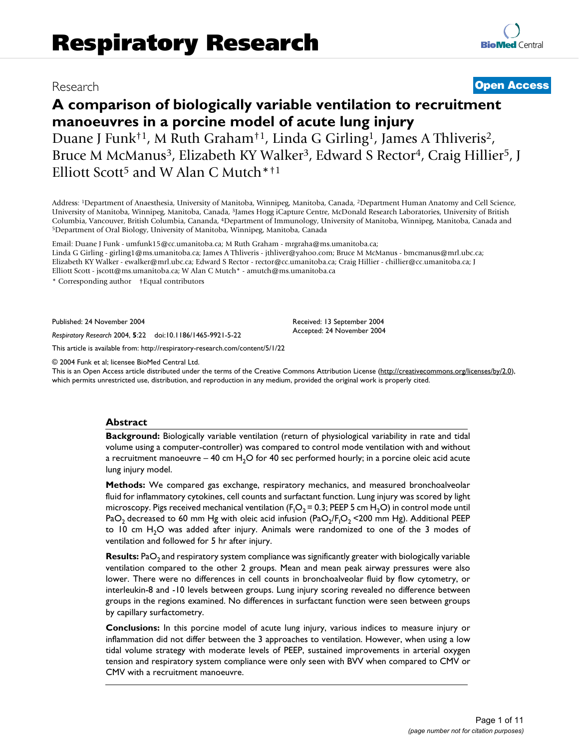# Research **[Open Access](http://www.biomedcentral.com/info/about/charter/)**

# **A comparison of biologically variable ventilation to recruitment manoeuvres in a porcine model of acute lung injury**

Duane J Funk†1, M Ruth Graham†1, Linda G Girling1, James A Thliveris2, Bruce M McManus<sup>3</sup>, Elizabeth KY Walker<sup>3</sup>, Edward S Rector<sup>4</sup>, Craig Hillier<sup>5</sup>, J Elliott Scott<sup>5</sup> and W Alan C Mutch<sup>\*†1</sup>

Address: 1Department of Anaesthesia, University of Manitoba, Winnipeg, Manitoba, Canada, 2Department Human Anatomy and Cell Science, University of Manitoba, Winnipeg, Manitoba, Canada, 3James Hogg iCapture Centre, McDonald Research Laboratories, University of British Columbia, Vancouver, British Columbia, Cananda, <sup>4</sup>Department of Immunology, University of Manitoba, Winnipeg, Manitoba, Canada and 5Department of Oral Biology, University of Manitoba, Winnipeg, Manitoba, Canada and 5Depar

Email: Duane J Funk - umfunk15@cc.umanitoba.ca; M Ruth Graham - mrgraha@ms.umanitoba.ca; Linda G Girling - girling1@ms.umanitoba.ca; James A Thliveris - jthliver@yahoo.com; Bruce M McManus - bmcmanus@mrl.ubc.ca; Elizabeth KY Walker - ewalker@mrl.ubc.ca; Edward S Rector - rector@cc.umanitoba.ca; Craig Hillier - chillier@cc.umanitoba.ca; J Elliott Scott - jscott@ms.umanitoba.ca; W Alan C Mutch\* - amutch@ms.umanitoba.ca

\* Corresponding author †Equal contributors

Published: 24 November 2004

*Respiratory Research* 2004, **5**:22 doi:10.1186/1465-9921-5-22

[This article is available from: http://respiratory-research.com/content/5/1/22](http://respiratory-research.com/content/5/1/22)

© 2004 Funk et al; licensee BioMed Central Ltd.

This is an Open Access article distributed under the terms of the Creative Commons Attribution License [\(http://creativecommons.org/licenses/by/2.0\)](http://creativecommons.org/licenses/by/2.0), which permits unrestricted use, distribution, and reproduction in any medium, provided the original work is properly cited.

Received: 13 September 2004 Accepted: 24 November 2004

### **Abstract**

**Background:** Biologically variable ventilation (return of physiological variability in rate and tidal volume using a computer-controller) was compared to control mode ventilation with and without a recruitment manoeuvre – 40 cm  $H<sub>2</sub>O$  for 40 sec performed hourly; in a porcine oleic acid acute lung injury model.

**Methods:** We compared gas exchange, respiratory mechanics, and measured bronchoalveolar fluid for inflammatory cytokines, cell counts and surfactant function. Lung injury was scored by light microscopy. Pigs received mechanical ventilation (F<sub>1</sub>O<sub>2</sub> = 0.3; PEEP 5 cm H<sub>2</sub>O) in control mode until PaO $_2$  decreased to 60 mm Hg with oleic acid infusion (PaO $_2$ /F<sub>I</sub>O $_2$  <200 mm Hg). Additional PEEP to 10 cm  $H<sub>2</sub>O$  was added after injury. Animals were randomized to one of the 3 modes of ventilation and followed for 5 hr after injury.

**Results:** PaO<sub>2</sub> and respiratory system compliance was significantly greater with biologically variable ventilation compared to the other 2 groups. Mean and mean peak airway pressures were also lower. There were no differences in cell counts in bronchoalveolar fluid by flow cytometry, or interleukin-8 and -10 levels between groups. Lung injury scoring revealed no difference between groups in the regions examined. No differences in surfactant function were seen between groups by capillary surfactometry.

**Conclusions:** In this porcine model of acute lung injury, various indices to measure injury or inflammation did not differ between the 3 approaches to ventilation. However, when using a low tidal volume strategy with moderate levels of PEEP, sustained improvements in arterial oxygen tension and respiratory system compliance were only seen with BVV when compared to CMV or CMV with a recruitment manoeuvre.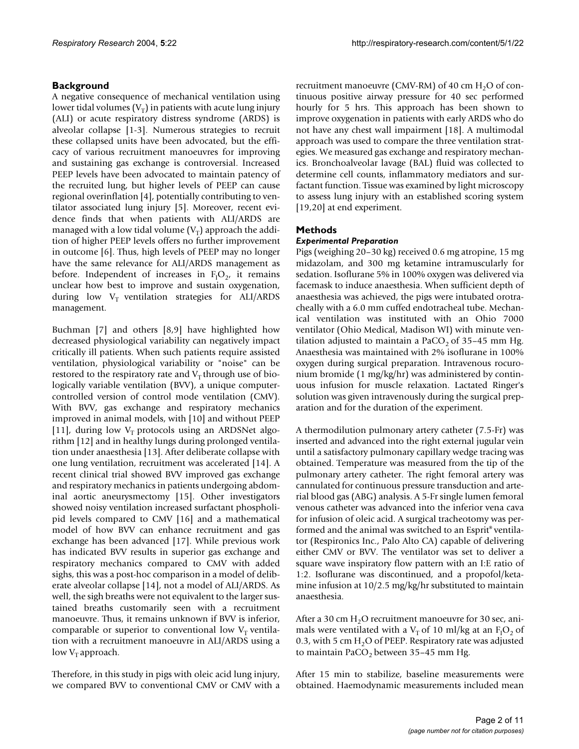# **Background**

A negative consequence of mechanical ventilation using lower tidal volumes  $(V_T)$  in patients with acute lung injury (ALI) or acute respiratory distress syndrome (ARDS) is alveolar collapse [1-3]. Numerous strategies to recruit these collapsed units have been advocated, but the efficacy of various recruitment manoeuvres for improving and sustaining gas exchange is controversial. Increased PEEP levels have been advocated to maintain patency of the recruited lung, but higher levels of PEEP can cause regional overinflation [4], potentially contributing to ventilator associated lung injury [5]. Moreover, recent evidence finds that when patients with ALI/ARDS are managed with a low tidal volume  $(V_T)$  approach the addition of higher PEEP levels offers no further improvement in outcome [6]. Thus, high levels of PEEP may no longer have the same relevance for ALI/ARDS management as before. Independent of increases in  $F_1O_2$ , it remains unclear how best to improve and sustain oxygenation, during low  $V_T$  ventilation strategies for ALI/ARDS management.

Buchman [7] and others [8,9] have highlighted how decreased physiological variability can negatively impact critically ill patients. When such patients require assisted ventilation, physiological variability or "noise" can be restored to the respiratory rate and  $V_T$  through use of biologically variable ventilation (BVV), a unique computercontrolled version of control mode ventilation (CMV). With BVV, gas exchange and respiratory mechanics improved in animal models, with [10] and without PEEP [11], during low  $V_T$  protocols using an ARDSNet algorithm [12] and in healthy lungs during prolonged ventilation under anaesthesia [13]. After deliberate collapse with one lung ventilation, recruitment was accelerated [14]. A recent clinical trial showed BVV improved gas exchange and respiratory mechanics in patients undergoing abdominal aortic aneurysmectomy [15]. Other investigators showed noisy ventilation increased surfactant phospholipid levels compared to CMV [16] and a mathematical model of how BVV can enhance recruitment and gas exchange has been advanced [17]. While previous work has indicated BVV results in superior gas exchange and respiratory mechanics compared to CMV with added sighs, this was a post-hoc comparison in a model of deliberate alveolar collapse [14], not a model of ALI/ARDS. As well, the sigh breaths were not equivalent to the larger sustained breaths customarily seen with a recruitment manoeuvre. Thus, it remains unknown if BVV is inferior, comparable or superior to conventional low  $V<sub>T</sub>$  ventilation with a recruitment manoeuvre in ALI/ARDS using a low  $V_T$  approach.

Therefore, in this study in pigs with oleic acid lung injury, we compared BVV to conventional CMV or CMV with a recruitment manoeuvre (CMV-RM) of 40 cm  $H_2O$  of continuous positive airway pressure for 40 sec performed hourly for 5 hrs. This approach has been shown to improve oxygenation in patients with early ARDS who do not have any chest wall impairment [18]. A multimodal approach was used to compare the three ventilation strategies. We measured gas exchange and respiratory mechanics. Bronchoalveolar lavage (BAL) fluid was collected to determine cell counts, inflammatory mediators and surfactant function. Tissue was examined by light microscopy to assess lung injury with an established scoring system [19,20] at end experiment.

## **Methods**

### *Experimental Preparation*

Pigs (weighing 20–30 kg) received 0.6 mg atropine, 15 mg midazolam, and 300 mg ketamine intramuscularly for sedation. Isoflurane 5% in 100% oxygen was delivered via facemask to induce anaesthesia. When sufficient depth of anaesthesia was achieved, the pigs were intubated orotracheally with a 6.0 mm cuffed endotracheal tube. Mechanical ventilation was instituted with an Ohio 7000 ventilator (Ohio Medical, Madison WI) with minute ventilation adjusted to maintain a  $PaCO<sub>2</sub>$  of 35–45 mm Hg. Anaesthesia was maintained with 2% isoflurane in 100% oxygen during surgical preparation. Intravenous rocuronium bromide (1 mg/kg/hr) was administered by continuous infusion for muscle relaxation. Lactated Ringer's solution was given intravenously during the surgical preparation and for the duration of the experiment.

A thermodilution pulmonary artery catheter (7.5-Fr) was inserted and advanced into the right external jugular vein until a satisfactory pulmonary capillary wedge tracing was obtained. Temperature was measured from the tip of the pulmonary artery catheter. The right femoral artery was cannulated for continuous pressure transduction and arterial blood gas (ABG) analysis. A 5-Fr single lumen femoral venous catheter was advanced into the inferior vena cava for infusion of oleic acid. A surgical tracheotomy was performed and the animal was switched to an Esprit® ventilator (Respironics Inc., Palo Alto CA) capable of delivering either CMV or BVV. The ventilator was set to deliver a square wave inspiratory flow pattern with an I:E ratio of 1:2. Isoflurane was discontinued, and a propofol/ketamine infusion at 10/2.5 mg/kg/hr substituted to maintain anaesthesia.

After a 30 cm  $H_2O$  recruitment manoeuvre for 30 sec, animals were ventilated with a V<sub>T</sub> of 10 ml/kg at an  $\text{F}_{1}\text{O}_{2}$  of 0.3, with 5 cm  $H_2O$  of PEEP. Respiratory rate was adjusted to maintain  $PaCO<sub>2</sub>$  between 35–45 mm Hg.

After 15 min to stabilize, baseline measurements were obtained. Haemodynamic measurements included mean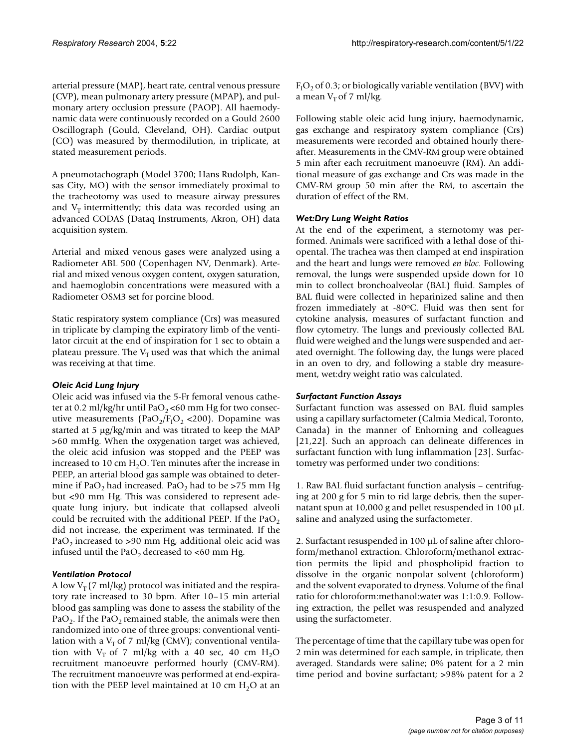arterial pressure (MAP), heart rate, central venous pressure (CVP), mean pulmonary artery pressure (MPAP), and pulmonary artery occlusion pressure (PAOP). All haemodynamic data were continuously recorded on a Gould 2600 Oscillograph (Gould, Cleveland, OH). Cardiac output (CO) was measured by thermodilution, in triplicate, at stated measurement periods.

A pneumotachograph (Model 3700; Hans Rudolph, Kansas City, MO) with the sensor immediately proximal to the tracheotomy was used to measure airway pressures and  $V_T$  intermittently; this data was recorded using an advanced CODAS (Dataq Instruments, Akron, OH) data acquisition system.

Arterial and mixed venous gases were analyzed using a Radiometer ABL 500 (Copenhagen NV, Denmark). Arterial and mixed venous oxygen content, oxygen saturation, and haemoglobin concentrations were measured with a Radiometer OSM3 set for porcine blood.

Static respiratory system compliance (Crs) was measured in triplicate by clamping the expiratory limb of the ventilator circuit at the end of inspiration for 1 sec to obtain a plateau pressure. The  $V_T$  used was that which the animal was receiving at that time.

### *Oleic Acid Lung Injury*

Oleic acid was infused via the 5-Fr femoral venous catheter at 0.2 ml/kg/hr until PaO<sub>2</sub> <60 mm Hg for two consecutive measurements ( $PaO<sub>2</sub>/F<sub>I</sub>O<sub>2</sub> < 200$ ). Dopamine was started at 5 µg/kg/min and was titrated to keep the MAP >60 mmHg. When the oxygenation target was achieved, the oleic acid infusion was stopped and the PEEP was increased to 10 cm  $H_2O$ . Ten minutes after the increase in PEEP, an arterial blood gas sample was obtained to determine if PaO<sub>2</sub> had increased. PaO<sub>2</sub> had to be >75 mm Hg but <90 mm Hg. This was considered to represent adequate lung injury, but indicate that collapsed alveoli could be recruited with the additional PEEP. If the PaO<sub>2</sub> did not increase, the experiment was terminated. If the PaO<sub>2</sub> increased to >90 mm Hg, additional oleic acid was infused until the PaO<sub>2</sub> decreased to <60 mm Hg.

### *Ventilation Protocol*

A low  $V_T$  (7 ml/kg) protocol was initiated and the respiratory rate increased to 30 bpm. After 10–15 min arterial blood gas sampling was done to assess the stability of the PaO<sub>2</sub>. If the PaO<sub>2</sub> remained stable, the animals were then randomized into one of three groups: conventional ventilation with a  $V<sub>T</sub>$  of 7 ml/kg (CMV); conventional ventilation with  $V_T$  of 7 ml/kg with a 40 sec, 40 cm H<sub>2</sub>O recruitment manoeuvre performed hourly (CMV-RM). The recruitment manoeuvre was performed at end-expiration with the PEEP level maintained at 10 cm  $H_2O$  at an

 $F_{I}O_{2}$  of 0.3; or biologically variable ventilation (BVV) with a mean  $V_T$  of 7 ml/kg.

Following stable oleic acid lung injury, haemodynamic, gas exchange and respiratory system compliance (Crs) measurements were recorded and obtained hourly thereafter. Measurements in the CMV-RM group were obtained 5 min after each recruitment manoeuvre (RM). An additional measure of gas exchange and Crs was made in the CMV-RM group 50 min after the RM, to ascertain the duration of effect of the RM.

# *Wet:Dry Lung Weight Ratios*

At the end of the experiment, a sternotomy was performed. Animals were sacrificed with a lethal dose of thiopental. The trachea was then clamped at end inspiration and the heart and lungs were removed *en bloc*. Following removal, the lungs were suspended upside down for 10 min to collect bronchoalveolar (BAL) fluid. Samples of BAL fluid were collected in heparinized saline and then frozen immediately at -80oC. Fluid was then sent for cytokine analysis, measures of surfactant function and flow cytometry. The lungs and previously collected BAL fluid were weighed and the lungs were suspended and aerated overnight. The following day, the lungs were placed in an oven to dry, and following a stable dry measurement, wet:dry weight ratio was calculated.

### *Surfactant Function Assays*

Surfactant function was assessed on BAL fluid samples using a capillary surfactometer (Calmia Medical, Toronto, Canada) in the manner of Enhorning and colleagues [21,22]. Such an approach can delineate differences in surfactant function with lung inflammation [23]. Surfactometry was performed under two conditions:

1. Raw BAL fluid surfactant function analysis – centrifuging at 200 g for 5 min to rid large debris, then the supernatant spun at 10,000 g and pellet resuspended in 100 µL saline and analyzed using the surfactometer.

2. Surfactant resuspended in 100 µL of saline after chloroform/methanol extraction. Chloroform/methanol extraction permits the lipid and phospholipid fraction to dissolve in the organic nonpolar solvent (chloroform) and the solvent evaporated to dryness. Volume of the final ratio for chloroform:methanol:water was 1:1:0.9. Following extraction, the pellet was resuspended and analyzed using the surfactometer.

The percentage of time that the capillary tube was open for 2 min was determined for each sample, in triplicate, then averaged. Standards were saline; 0% patent for a 2 min time period and bovine surfactant; >98% patent for a 2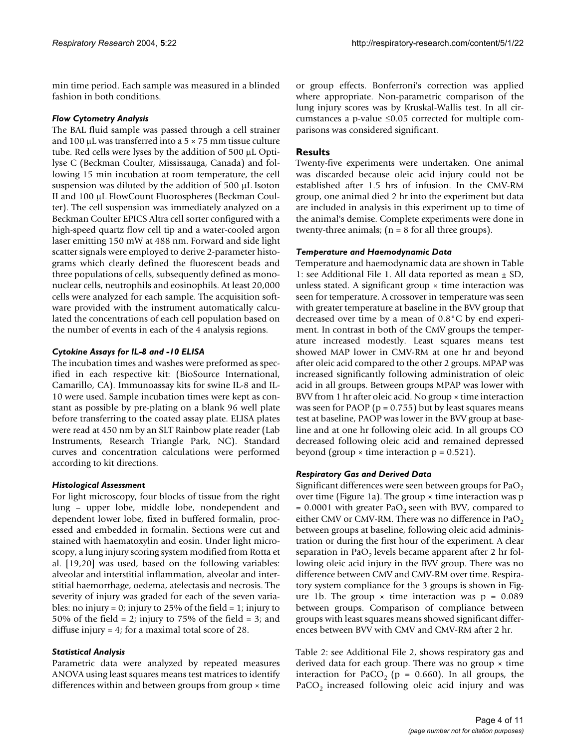min time period. Each sample was measured in a blinded fashion in both conditions.

#### *Flow Cytometry Analysis*

The BAL fluid sample was passed through a cell strainer and 100  $\mu$ L was transferred into a 5  $\times$  75 mm tissue culture tube. Red cells were lyses by the addition of 500 µL Optilyse C (Beckman Coulter, Mississauga, Canada) and following 15 min incubation at room temperature, the cell suspension was diluted by the addition of 500 µL Isoton II and 100 µL FlowCount Fluorospheres (Beckman Coulter). The cell suspension was immediately analyzed on a Beckman Coulter EPICS Altra cell sorter configured with a high-speed quartz flow cell tip and a water-cooled argon laser emitting 150 mW at 488 nm. Forward and side light scatter signals were employed to derive 2-parameter histograms which clearly defined the fluorescent beads and three populations of cells, subsequently defined as mononuclear cells, neutrophils and eosinophils. At least 20,000 cells were analyzed for each sample. The acquisition software provided with the instrument automatically calculated the concentrations of each cell population based on the number of events in each of the 4 analysis regions.

### *Cytokine Assays for IL-8 and -10 ELISA*

The incubation times and washes were preformed as specified in each respective kit: (BioSource International, Camarillo, CA). Immunoassay kits for swine IL-8 and IL-10 were used. Sample incubation times were kept as constant as possible by pre-plating on a blank 96 well plate before transferring to the coated assay plate. ELISA plates were read at 450 nm by an SLT Rainbow plate reader (Lab Instruments, Research Triangle Park, NC). Standard curves and concentration calculations were performed according to kit directions.

### *Histological Assessment*

For light microscopy, four blocks of tissue from the right lung – upper lobe, middle lobe, nondependent and dependent lower lobe, fixed in buffered formalin, processed and embedded in formalin. Sections were cut and stained with haematoxylin and eosin. Under light microscopy, a lung injury scoring system modified from Rotta et al. [19,20] was used, based on the following variables: alveolar and interstitial inflammation, alveolar and interstitial haemorrhage, oedema, atelectasis and necrosis. The severity of injury was graded for each of the seven variables: no injury = 0; injury to 25% of the field = 1; injury to 50% of the field = 2; injury to 75% of the field = 3; and diffuse injury = 4; for a maximal total score of 28.

### *Statistical Analysis*

Parametric data were analyzed by repeated measures ANOVA using least squares means test matrices to identify differences within and between groups from group × time or group effects. Bonferroni's correction was applied where appropriate. Non-parametric comparison of the lung injury scores was by Kruskal-Wallis test. In all circumstances a p-value ≤0.05 corrected for multiple comparisons was considered significant.

#### **Results**

Twenty-five experiments were undertaken. One animal was discarded because oleic acid injury could not be established after 1.5 hrs of infusion. In the CMV-RM group, one animal died 2 hr into the experiment but data are included in analysis in this experiment up to time of the animal's demise. Complete experiments were done in twenty-three animals;  $(n = 8$  for all three groups).

#### *Temperature and Haemodynamic Data*

Temperature and haemodynamic data are shown in Table 1: see Additional File 1. All data reported as mean  $\pm$  SD, unless stated. A significant group  $\times$  time interaction was seen for temperature. A crossover in temperature was seen with greater temperature at baseline in the BVV group that decreased over time by a mean of 0.8°C by end experiment. In contrast in both of the CMV groups the temperature increased modestly. Least squares means test showed MAP lower in CMV-RM at one hr and beyond after oleic acid compared to the other 2 groups. MPAP was increased significantly following administration of oleic acid in all groups. Between groups MPAP was lower with BVV from 1 hr after oleic acid. No group × time interaction was seen for PAOP ( $p = 0.755$ ) but by least squares means test at baseline, PAOP was lower in the BVV group at baseline and at one hr following oleic acid. In all groups CO decreased following oleic acid and remained depressed beyond (group  $\times$  time interaction  $p = 0.521$ ).

#### *Respiratory Gas and Derived Data*

Significant differences were seen between groups for  $PaO<sub>2</sub>$ over time (Figure [1](#page-4-0)a). The group  $\times$  time interaction was p  $= 0.0001$  with greater PaO<sub>2</sub> seen with BVV, compared to either CMV or CMV-RM. There was no difference in PaO<sub>2</sub> between groups at baseline, following oleic acid administration or during the first hour of the experiment. A clear separation in PaO<sub>2</sub> levels became apparent after 2 hr following oleic acid injury in the BVV group. There was no difference between CMV and CMV-RM over time. Respiratory system compliance for the 3 groups is shown in Fig-ure [1](#page-4-0)b. The group  $\times$  time interaction was  $p = 0.089$ between groups. Comparison of compliance between groups with least squares means showed significant differences between BVV with CMV and CMV-RM after 2 hr.

Table 2: see Additional File 2, shows respiratory gas and derived data for each group. There was no group  $\times$  time interaction for PaCO<sub>2</sub> ( $p = 0.660$ ). In all groups, the PaCO<sub>2</sub> increased following oleic acid injury and was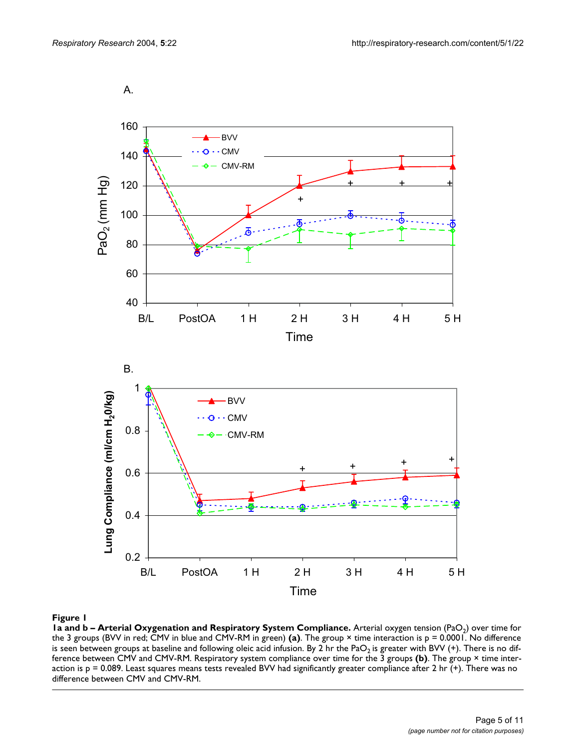<span id="page-4-0"></span>

#### Figure 1

**1a and b – Arterial Oxygenation and Respiratory System Compliance.** Arterial oxygen tension (PaO<sub>2</sub>) over time for the 3 groups (BVV in red; CMV in blue and CMV-RM in green) **(a)**. The group × time interaction is p = 0.0001. No difference is seen between groups at baseline and following oleic acid infusion. By 2 hr the PaO<sub>2</sub> is greater with BVV (+). There is no difference between CMV and CMV-RM. Respiratory system compliance over time for the 3 groups **(b)**. The group × time interaction is  $p = 0.089$ . Least squares means tests revealed BVV had significantly greater compliance after 2 hr (+). There was no difference between CMV and CMV-RM.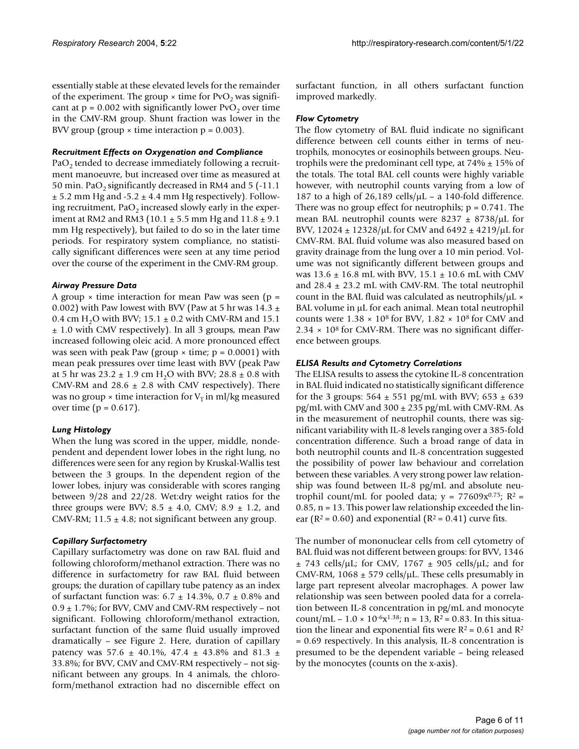essentially stable at these elevated levels for the remainder of the experiment. The group  $\times$  time for PvO<sub>2</sub> was significant at  $p = 0.002$  with significantly lower PvO<sub>2</sub> over time in the CMV-RM group. Shunt fraction was lower in the BVV group (group  $\times$  time interaction  $p = 0.003$ ).

#### *Recruitment Effects on Oxygenation and Compliance*

 $PaO<sub>2</sub>$  tended to decrease immediately following a recruitment manoeuvre, but increased over time as measured at 50 min. PaO<sub>2</sub> significantly decreased in RM4 and 5 (-11.1)  $\pm$  5.2 mm Hg and -5.2  $\pm$  4.4 mm Hg respectively). Following recruitment,  $PaO<sub>2</sub>$  increased slowly early in the experiment at RM2 and RM3 (10.1  $\pm$  5.5 mm Hg and 11.8  $\pm$  9.1 mm Hg respectively), but failed to do so in the later time periods. For respiratory system compliance, no statistically significant differences were seen at any time period over the course of the experiment in the CMV-RM group.

#### *Airway Pressure Data*

A group  $\times$  time interaction for mean Paw was seen (p = 0.002) with Paw lowest with BVV (Paw at 5 hr was 14.3  $\pm$ 0.4 cm H<sub>2</sub>O with BVV; 15.1  $\pm$  0.2 with CMV-RM and 15.1 ± 1.0 with CMV respectively). In all 3 groups, mean Paw increased following oleic acid. A more pronounced effect was seen with peak Paw (group  $\times$  time;  $p = 0.0001$ ) with mean peak pressures over time least with BVV (peak Paw at 5 hr was  $23.2 \pm 1.9$  cm H<sub>2</sub>O with BVV;  $28.8 \pm 0.8$  with CMV-RM and  $28.6 \pm 2.8$  with CMV respectively). There was no group  $\times$  time interaction for  $V_T$  in ml/kg measured over time ( $p = 0.617$ ).

### *Lung Histology*

When the lung was scored in the upper, middle, nondependent and dependent lower lobes in the right lung, no differences were seen for any region by Kruskal-Wallis test between the 3 groups. In the dependent region of the lower lobes, injury was considerable with scores ranging between 9/28 and 22/28. Wet:dry weight ratios for the three groups were BVV;  $8.5 \pm 4.0$ , CMV;  $8.9 \pm 1.2$ , and CMV-RM;  $11.5 \pm 4.8$ ; not significant between any group.

### *Capillary Surfactometry*

Capillary surfactometry was done on raw BAL fluid and following chloroform/methanol extraction. There was no difference in surfactometry for raw BAL fluid between groups; the duration of capillary tube patency as an index of surfactant function was:  $6.7 \pm 14.3\%$ ,  $0.7 \pm 0.8\%$  and  $0.9 \pm 1.7$ %; for BVV, CMV and CMV-RM respectively – not significant. Following chloroform/methanol extraction, surfactant function of the same fluid usually improved dramatically – see Figure [2](#page-6-0). Here, duration of capillary patency was 57.6  $\pm$  40.1%, 47.4  $\pm$  43.8% and 81.3  $\pm$ 33.8%; for BVV, CMV and CMV-RM respectively – not significant between any groups. In 4 animals, the chloroform/methanol extraction had no discernible effect on surfactant function, in all others surfactant function improved markedly.

#### *Flow Cytometry*

The flow cytometry of BAL fluid indicate no significant difference between cell counts either in terms of neutrophils, monocytes or eosinophils between groups. Neutrophils were the predominant cell type, at  $74\% \pm 15\%$  of the totals. The total BAL cell counts were highly variable however, with neutrophil counts varying from a low of 187 to a high of 26,189 cells/ $\mu$ L – a 140-fold difference. There was no group effect for neutrophils;  $p = 0.741$ . The mean BAL neutrophil counts were  $8237 \pm 8738/\mu L$  for BVV,  $12024 \pm 12328/\mu$ L for CMV and  $6492 \pm 4219/\mu$ L for CMV-RM. BAL fluid volume was also measured based on gravity drainage from the lung over a 10 min period. Volume was not significantly different between groups and was  $13.6 \pm 16.8$  mL with BVV,  $15.1 \pm 10.6$  mL with CMV and  $28.4 \pm 23.2$  mL with CMV-RM. The total neutrophil count in the BAL fluid was calculated as neutrophils/ $\mu$ L  $\times$ BAL volume in  $\mu$ L for each animal. Mean total neutrophil counts were  $1.38 \times 10^8$  for BVV,  $1.82 \times 10^8$  for CMV and  $2.34 \times 10^8$  for CMV-RM. There was no significant difference between groups.

#### *ELISA Results and Cytometry Correlations*

The ELISA results to assess the cytokine IL-8 concentration in BAL fluid indicated no statistically significant difference for the 3 groups:  $564 \pm 551$  pg/mL with BVV;  $653 \pm 639$  $pg/mL$  with CMV and 300  $±$  235 pg/mL with CMV-RM. As in the measurement of neutrophil counts, there was significant variability with IL-8 levels ranging over a 385-fold concentration difference. Such a broad range of data in both neutrophil counts and IL-8 concentration suggested the possibility of power law behaviour and correlation between these variables. A very strong power law relationship was found between IL-8 pg/mL and absolute neutrophil count/mL for pooled data;  $y = 77609x^{0.75}$ ;  $R^2 =$  $0.85$ ,  $n = 13$ . This power law relationship exceeded the linear ( $R^2$  = 0.60) and exponential ( $R^2$  = 0.41) curve fits.

The number of mononuclear cells from cell cytometry of BAL fluid was not different between groups: for BVV, 1346  $\pm$  743 cells/ $\mu$ L; for CMV, 1767  $\pm$  905 cells/ $\mu$ L; and for CMV-RM, 1068  $\pm$  579 cells/ $\mu$ L. These cells presumably in large part represent alveolar macrophages. A power law relationship was seen between pooled data for a correlation between IL-8 concentration in pg/mL and monocyte count/mL –  $1.0 \times 10^{-6}x^{1.38}$ ; n = 13, R<sup>2</sup> = 0.83. In this situation the linear and exponential fits were  $R^2 = 0.61$  and  $R^2$ = 0.69 respectively. In this analysis, IL-8 concentration is presumed to be the dependent variable – being released by the monocytes (counts on the x-axis).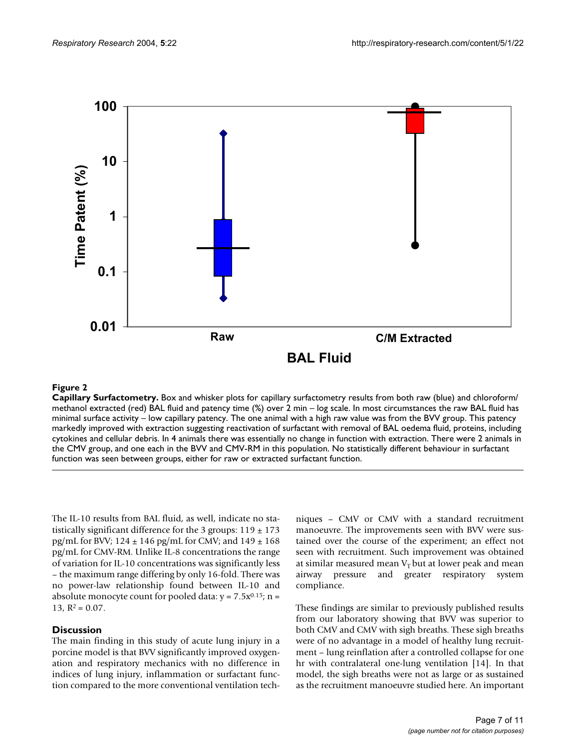<span id="page-6-0"></span>

#### **Figure 2**

**Capillary Surfactometry.** Box and whisker plots for capillary surfactometry results from both raw (blue) and chloroform/ methanol extracted (red) BAL fluid and patency time (%) over 2 min – log scale. In most circumstances the raw BAL fluid has minimal surface activity – low capillary patency. The one animal with a high raw value was from the BVV group. This patency markedly improved with extraction suggesting reactivation of surfactant with removal of BAL oedema fluid, proteins, including cytokines and cellular debris. In 4 animals there was essentially no change in function with extraction. There were 2 animals in the CMV group, and one each in the BVV and CMV-RM in this population. No statistically different behaviour in surfactant function was seen between groups, either for raw or extracted surfactant function.

The IL-10 results from BAL fluid, as well, indicate no statistically significant difference for the 3 groups:  $119 \pm 173$ pg/mL for BVV;  $124 \pm 146$  pg/mL for CMV; and  $149 \pm 168$ pg/mL for CMV-RM. Unlike IL-8 concentrations the range of variation for IL-10 concentrations was significantly less – the maximum range differing by only 16-fold. There was no power-law relationship found between IL-10 and absolute monocyte count for pooled data:  $y = 7.5x^{0.15}$ ; n = 13,  $R^2 = 0.07$ .

#### **Discussion**

The main finding in this study of acute lung injury in a porcine model is that BVV significantly improved oxygenation and respiratory mechanics with no difference in indices of lung injury, inflammation or surfactant function compared to the more conventional ventilation techniques – CMV or CMV with a standard recruitment manoeuvre. The improvements seen with BVV were sustained over the course of the experiment; an effect not seen with recruitment. Such improvement was obtained at similar measured mean  $V<sub>T</sub>$  but at lower peak and mean airway pressure and greater respiratory system compliance.

These findings are similar to previously published results from our laboratory showing that BVV was superior to both CMV and CMV with sigh breaths. These sigh breaths were of no advantage in a model of healthy lung recruitment – lung reinflation after a controlled collapse for one hr with contralateral one-lung ventilation [14]. In that model, the sigh breaths were not as large or as sustained as the recruitment manoeuvre studied here. An important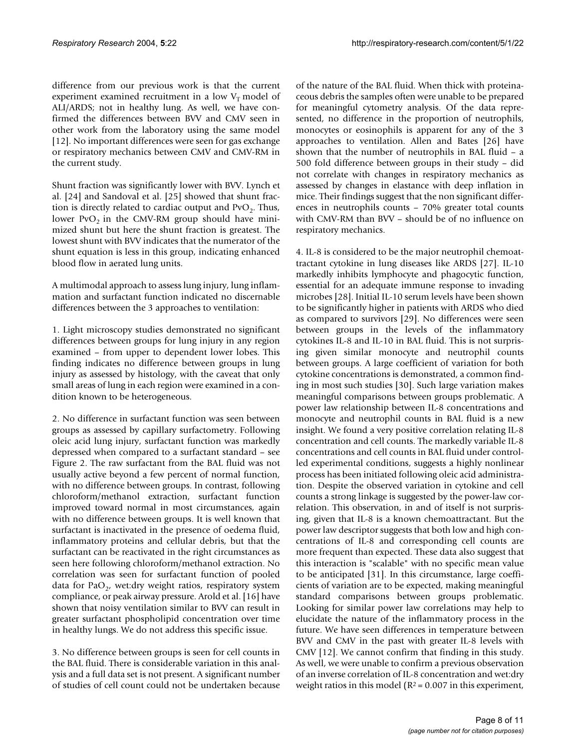difference from our previous work is that the current experiment examined recruitment in a low  $V<sub>T</sub>$  model of ALI/ARDS; not in healthy lung. As well, we have confirmed the differences between BVV and CMV seen in other work from the laboratory using the same model [12]. No important differences were seen for gas exchange or respiratory mechanics between CMV and CMV-RM in the current study.

Shunt fraction was significantly lower with BVV. Lynch et al. [24] and Sandoval et al. [[25\]](#page-10-0) showed that shunt fraction is directly related to cardiac output and  $PvO<sub>2</sub>$ . Thus, lower PvO<sub>2</sub> in the CMV-RM group should have minimized shunt but here the shunt fraction is greatest. The lowest shunt with BVV indicates that the numerator of the shunt equation is less in this group, indicating enhanced blood flow in aerated lung units.

A multimodal approach to assess lung injury, lung inflammation and surfactant function indicated no discernable differences between the 3 approaches to ventilation:

1. Light microscopy studies demonstrated no significant differences between groups for lung injury in any region examined – from upper to dependent lower lobes. This finding indicates no difference between groups in lung injury as assessed by histology, with the caveat that only small areas of lung in each region were examined in a condition known to be heterogeneous.

2. No difference in surfactant function was seen between groups as assessed by capillary surfactometry. Following oleic acid lung injury, surfactant function was markedly depressed when compared to a surfactant standard – see Figure [2.](#page-6-0) The raw surfactant from the BAL fluid was not usually active beyond a few percent of normal function, with no difference between groups. In contrast, following chloroform/methanol extraction, surfactant function improved toward normal in most circumstances, again with no difference between groups. It is well known that surfactant is inactivated in the presence of oedema fluid, inflammatory proteins and cellular debris, but that the surfactant can be reactivated in the right circumstances as seen here following chloroform/methanol extraction. No correlation was seen for surfactant function of pooled data for PaO<sub>2</sub>, wet:dry weight ratios, respiratory system compliance, or peak airway pressure. Arold et al. [16] have shown that noisy ventilation similar to BVV can result in greater surfactant phospholipid concentration over time in healthy lungs. We do not address this specific issue.

3. No difference between groups is seen for cell counts in the BAL fluid. There is considerable variation in this analysis and a full data set is not present. A significant number of studies of cell count could not be undertaken because of the nature of the BAL fluid. When thick with proteinaceous debris the samples often were unable to be prepared for meaningful cytometry analysis. Of the data represented, no difference in the proportion of neutrophils, monocytes or eosinophils is apparent for any of the 3 approaches to ventilation. Allen and Bates [26] have shown that the number of neutrophils in BAL fluid – a 500 fold difference between groups in their study – did not correlate with changes in respiratory mechanics as assessed by changes in elastance with deep inflation in mice. Their findings suggest that the non significant differences in neutrophils counts – 70% greater total counts with CMV-RM than BVV – should be of no influence on respiratory mechanics.

4. IL-8 is considered to be the major neutrophil chemoattractant cytokine in lung diseases like ARDS [27]. IL-10 markedly inhibits lymphocyte and phagocytic function, essential for an adequate immune response to invading microbes [28]. Initial IL-10 serum levels have been shown to be significantly higher in patients with ARDS who died as compared to survivors [29]. No differences were seen between groups in the levels of the inflammatory cytokines IL-8 and IL-10 in BAL fluid. This is not surprising given similar monocyte and neutrophil counts between groups. A large coefficient of variation for both cytokine concentrations is demonstrated, a common finding in most such studies [30]. Such large variation makes meaningful comparisons between groups problematic. A power law relationship between IL-8 concentrations and monocyte and neutrophil counts in BAL fluid is a new insight. We found a very positive correlation relating IL-8 concentration and cell counts. The markedly variable IL-8 concentrations and cell counts in BAL fluid under controlled experimental conditions, suggests a highly nonlinear process has been initiated following oleic acid administration. Despite the observed variation in cytokine and cell counts a strong linkage is suggested by the power-law correlation. This observation, in and of itself is not surprising, given that IL-8 is a known chemoattractant. But the power law descriptor suggests that both low and high concentrations of IL-8 and corresponding cell counts are more frequent than expected. These data also suggest that this interaction is "scalable" with no specific mean value to be anticipated [31]. In this circumstance, large coefficients of variation are to be expected, making meaningful standard comparisons between groups problematic. Looking for similar power law correlations may help to elucidate the nature of the inflammatory process in the future. We have seen differences in temperature between BVV and CMV in the past with greater IL-8 levels with CMV [12]. We cannot confirm that finding in this study. As well, we were unable to confirm a previous observation of an inverse correlation of IL-8 concentration and wet:dry weight ratios in this model ( $R^2 = 0.007$  in this experiment,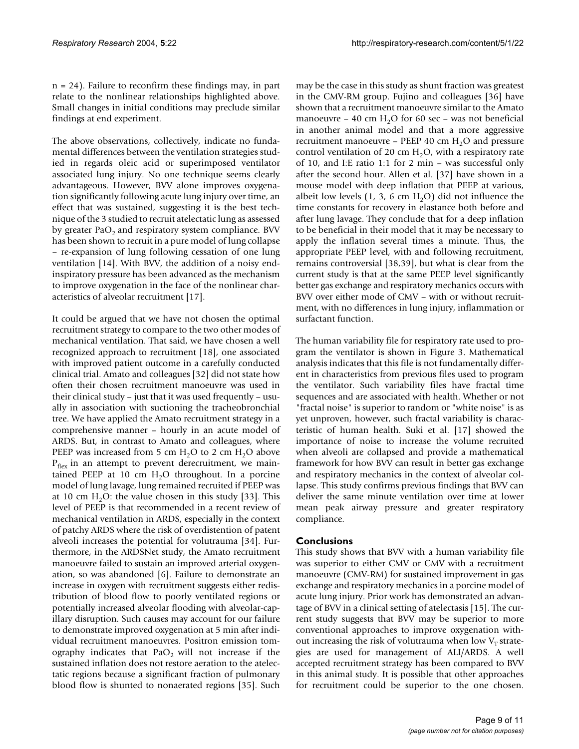n = 24). Failure to reconfirm these findings may, in part relate to the nonlinear relationships highlighted above. Small changes in initial conditions may preclude similar findings at end experiment.

The above observations, collectively, indicate no fundamental differences between the ventilation strategies studied in regards oleic acid or superimposed ventilator associated lung injury. No one technique seems clearly advantageous. However, BVV alone improves oxygenation significantly following acute lung injury over time, an effect that was sustained, suggesting it is the best technique of the 3 studied to recruit atelectatic lung as assessed by greater  $PaO<sub>2</sub>$  and respiratory system compliance. BVV has been shown to recruit in a pure model of lung collapse – re-expansion of lung following cessation of one lung ventilation [14]. With BVV, the addition of a noisy endinspiratory pressure has been advanced as the mechanism to improve oxygenation in the face of the nonlinear characteristics of alveolar recruitment [17].

It could be argued that we have not chosen the optimal recruitment strategy to compare to the two other modes of mechanical ventilation. That said, we have chosen a well recognized approach to recruitment [18], one associated with improved patient outcome in a carefully conducted clinical trial. Amato and colleagues [32] did not state how often their chosen recruitment manoeuvre was used in their clinical study – just that it was used frequently – usually in association with suctioning the tracheobronchial tree. We have applied the Amato recruitment strategy in a comprehensive manner – hourly in an acute model of ARDS. But, in contrast to Amato and colleagues, where PEEP was increased from 5 cm  $H_2O$  to 2 cm  $H_2O$  above  $P_{\text{flex}}$  in an attempt to prevent derecruitment, we maintained PEEP at 10 cm  $H<sub>2</sub>O$  throughout. In a porcine model of lung lavage, lung remained recruited if PEEP was at 10 cm  $H_2O$ : the value chosen in this study [33]. This level of PEEP is that recommended in a recent review of mechanical ventilation in ARDS, especially in the context of patchy ARDS where the risk of overdistention of patent alveoli increases the potential for volutrauma [34]. Furthermore, in the ARDSNet study, the Amato recruitment manoeuvre failed to sustain an improved arterial oxygenation, so was abandoned [6]. Failure to demonstrate an increase in oxygen with recruitment suggests either redistribution of blood flow to poorly ventilated regions or potentially increased alveolar flooding with alveolar-capillary disruption. Such causes may account for our failure to demonstrate improved oxygenation at 5 min after individual recruitment manoeuvres. Positron emission tomography indicates that  $PaO<sub>2</sub>$  will not increase if the sustained inflation does not restore aeration to the atelectatic regions because a significant fraction of pulmonary blood flow is shunted to nonaerated regions [35]. Such

may be the case in this study as shunt fraction was greatest in the CMV-RM group. Fujino and colleagues [36] have shown that a recruitment manoeuvre similar to the Amato manoeuvre – 40 cm  $H_2O$  for 60 sec – was not beneficial in another animal model and that a more aggressive recruitment manoeuvre – PEEP 40 cm  $H_2O$  and pressure control ventilation of 20 cm  $H<sub>2</sub>O$ , with a respiratory rate of 10, and I:E ratio 1:1 for 2 min – was successful only after the second hour. Allen et al. [37] have shown in a mouse model with deep inflation that PEEP at various, albeit low levels  $(1, 3, 6 \text{ cm H}_2O)$  did not influence the time constants for recovery in elastance both before and after lung lavage. They conclude that for a deep inflation to be beneficial in their model that it may be necessary to apply the inflation several times a minute. Thus, the appropriate PEEP level, with and following recruitment, remains controversial [38,39], but what is clear from the current study is that at the same PEEP level significantly better gas exchange and respiratory mechanics occurs with BVV over either mode of CMV – with or without recruitment, with no differences in lung injury, inflammation or surfactant function.

The human variability file for respiratory rate used to program the ventilator is shown in Figure [3](#page-9-0). Mathematical analysis indicates that this file is not fundamentally different in characteristics from previous files used to program the ventilator. Such variability files have fractal time sequences and are associated with health. Whether or not "fractal noise" is superior to random or "white noise" is as yet unproven, however, such fractal variability is characteristic of human health. Suki et al. [17] showed the importance of noise to increase the volume recruited when alveoli are collapsed and provide a mathematical framework for how BVV can result in better gas exchange and respiratory mechanics in the context of alveolar collapse. This study confirms previous findings that BVV can deliver the same minute ventilation over time at lower mean peak airway pressure and greater respiratory compliance.

#### **Conclusions**

This study shows that BVV with a human variability file was superior to either CMV or CMV with a recruitment manoeuvre (CMV-RM) for sustained improvement in gas exchange and respiratory mechanics in a porcine model of acute lung injury. Prior work has demonstrated an advantage of BVV in a clinical setting of atelectasis [15]. The current study suggests that BVV may be superior to more conventional approaches to improve oxygenation without increasing the risk of volutrauma when low  $V<sub>T</sub>$  strategies are used for management of ALI/ARDS. A well accepted recruitment strategy has been compared to BVV in this animal study. It is possible that other approaches for recruitment could be superior to the one chosen.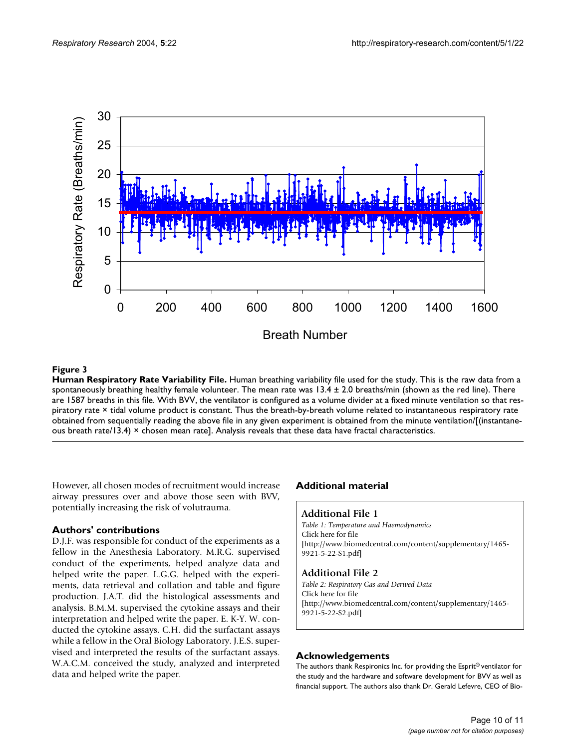<span id="page-9-0"></span>

# **Figure 3**

**Human Respiratory Rate Variability File.** Human breathing variability file used for the study. This is the raw data from a spontaneously breathing healthy female volunteer. The mean rate was  $13.4 \pm 2.0$  breaths/min (shown as the red line). There are 1587 breaths in this file. With BVV, the ventilator is configured as a volume divider at a fixed minute ventilation so that respiratory rate × tidal volume product is constant. Thus the breath-by-breath volume related to instantaneous respiratory rate obtained from sequentially reading the above file in any given experiment is obtained from the minute ventilation/[(instantaneous breath rate/13.4)  $\times$  chosen mean rate]. Analysis reveals that these data have fractal characteristics.

However, all chosen modes of recruitment would increase airway pressures over and above those seen with BVV, potentially increasing the risk of volutrauma.

# **Authors' contributions**

D.J.F. was responsible for conduct of the experiments as a fellow in the Anesthesia Laboratory. M.R.G. supervised conduct of the experiments, helped analyze data and helped write the paper. L.G.G. helped with the experiments, data retrieval and collation and table and figure production. J.A.T. did the histological assessments and analysis. B.M.M. supervised the cytokine assays and their interpretation and helped write the paper. E. K-Y. W. conducted the cytokine assays. C.H. did the surfactant assays while a fellow in the Oral Biology Laboratory. J.E.S. supervised and interpreted the results of the surfactant assays. W.A.C.M. conceived the study, analyzed and interpreted data and helped write the paper.

# **Additional material**

#### **Additional File 1**

*Table 1: Temperature and Haemodynamics* Click here for file [\[http://www.biomedcentral.com/content/supplementary/1465-](http://www.biomedcentral.com/content/supplementary/1465-9921-5-22-S1.pdf) 9921-5-22-S1.pdf]

### **Additional File 2**

*Table 2: Respiratory Gas and Derived Data* Click here for file [\[http://www.biomedcentral.com/content/supplementary/1465-](http://www.biomedcentral.com/content/supplementary/1465-9921-5-22-S2.pdf) 9921-5-22-S2.pdf]

#### **Acknowledgements**

The authors thank Respironics Inc. for providing the Esprit® ventilator for the study and the hardware and software development for BVV as well as financial support. The authors also thank Dr. Gerald Lefevre, CEO of Bio